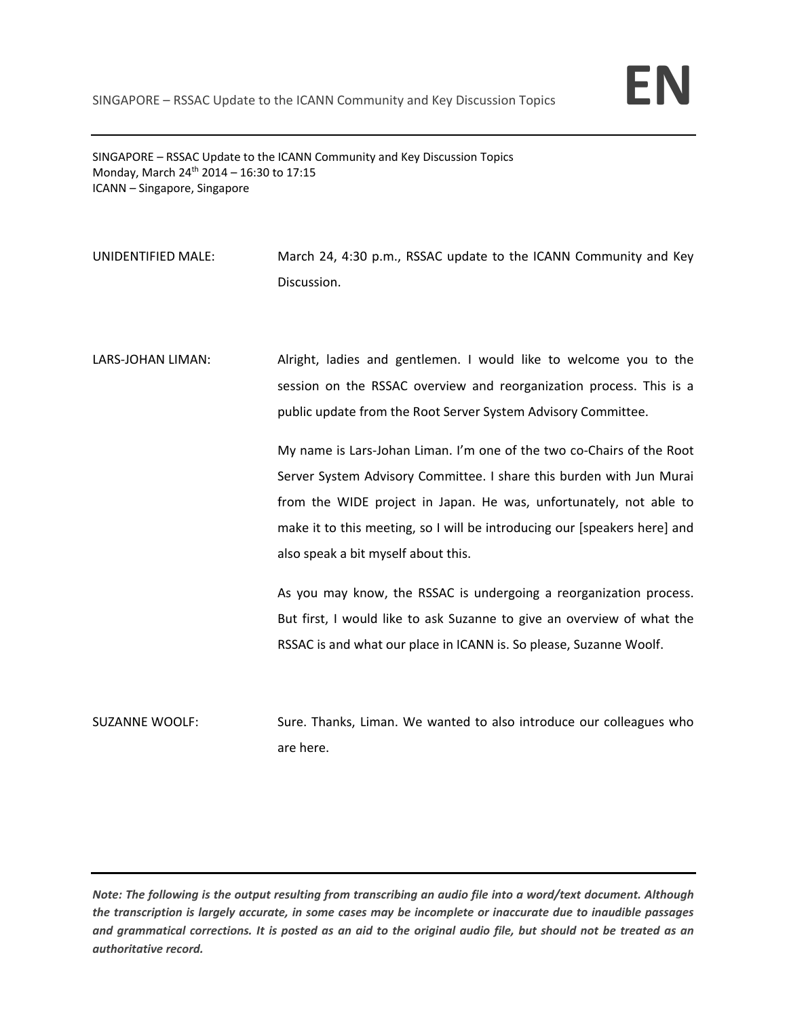SINGAPORE – RSSAC Update to the ICANN Community and Key Discussion Topics Monday, March 24<sup>th</sup> 2014 – 16:30 to 17:15 ICANN – Singapore, Singapore

UNIDENTIFIED MALE: March 24, 4:30 p.m., RSSAC update to the ICANN Community and Key Discussion.

LARS-JOHAN LIMAN: Alright, ladies and gentlemen. I would like to welcome you to the session on the RSSAC overview and reorganization process. This is a public update from the Root Server System Advisory Committee.

> My name is Lars‐Johan Liman. I'm one of the two co‐Chairs of the Root Server System Advisory Committee. I share this burden with Jun Murai from the WIDE project in Japan. He was, unfortunately, not able to make it to this meeting, so I will be introducing our [speakers here] and also speak a bit myself about this.

> As you may know, the RSSAC is undergoing a reorganization process. But first, I would like to ask Suzanne to give an overview of what the RSSAC is and what our place in ICANN is. So please, Suzanne Woolf.

SUZANNE WOOLF: Sure. Thanks, Liman. We wanted to also introduce our colleagues who are here.

Note: The following is the output resulting from transcribing an audio file into a word/text document. Although the transcription is largely accurate, in some cases may be incomplete or inaccurate due to inaudible passages and grammatical corrections. It is posted as an aid to the original audio file, but should not be treated as an *authoritative record.*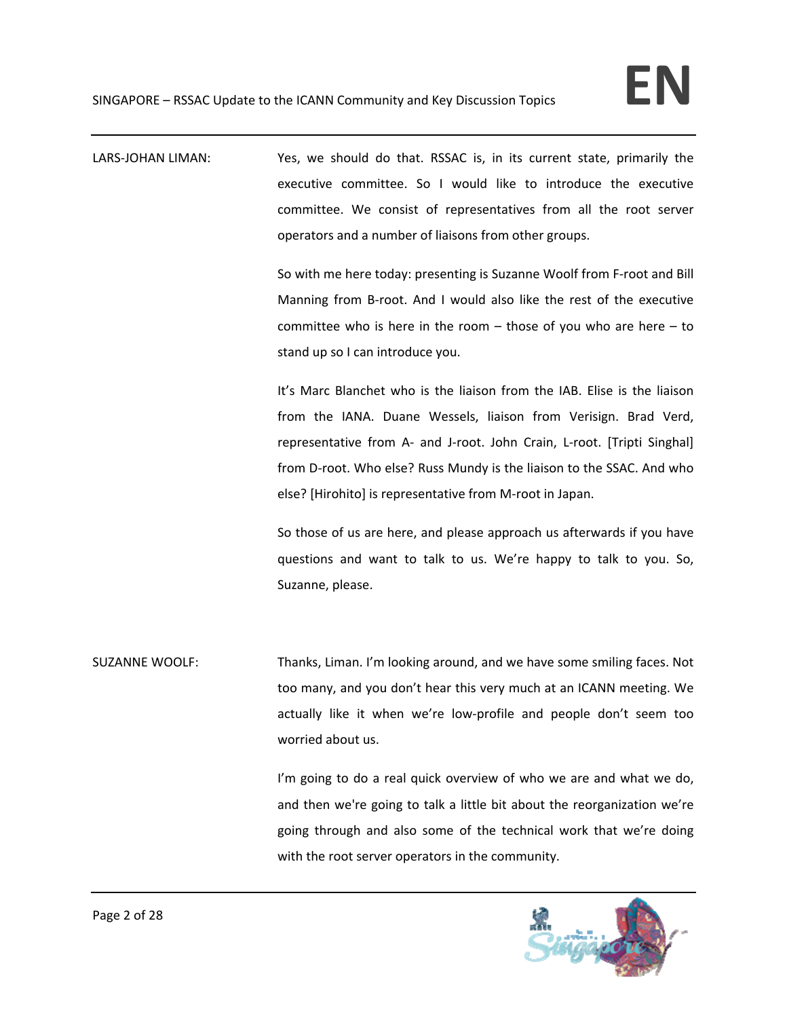LARS-JOHAN LIMAN: Yes, we should do that. RSSAC is, in its current state, primarily the executive committee. So I would like to introduce the executive committee. We consist of representatives from all the root server operators and a number of liaisons from other groups.

> So with me here today: presenting is Suzanne Woolf from F‐root and Bill Manning from B‐root. And I would also like the rest of the executive committee who is here in the room  $-$  those of you who are here  $-$  to stand up so I can introduce you.

> It's Marc Blanchet who is the liaison from the IAB. Elise is the liaison from the IANA. Duane Wessels, liaison from Verisign. Brad Verd, representative from A- and J-root. John Crain, L-root. [Tripti Singhal] from D‐root. Who else? Russ Mundy is the liaison to the SSAC. And who else? [Hirohito] is representative from M‐root in Japan.

> So those of us are here, and please approach us afterwards if you have questions and want to talk to us. We're happy to talk to you. So, Suzanne, please.

SUZANNE WOOLF: Thanks, Liman. I'm looking around, and we have some smiling faces. Not too many, and you don't hear this very much at an ICANN meeting. We actually like it when we're low‐profile and people don't seem too worried about us.

> I'm going to do a real quick overview of who we are and what we do, and then we're going to talk a little bit about the reorganization we're going through and also some of the technical work that we're doing with the root server operators in the community.

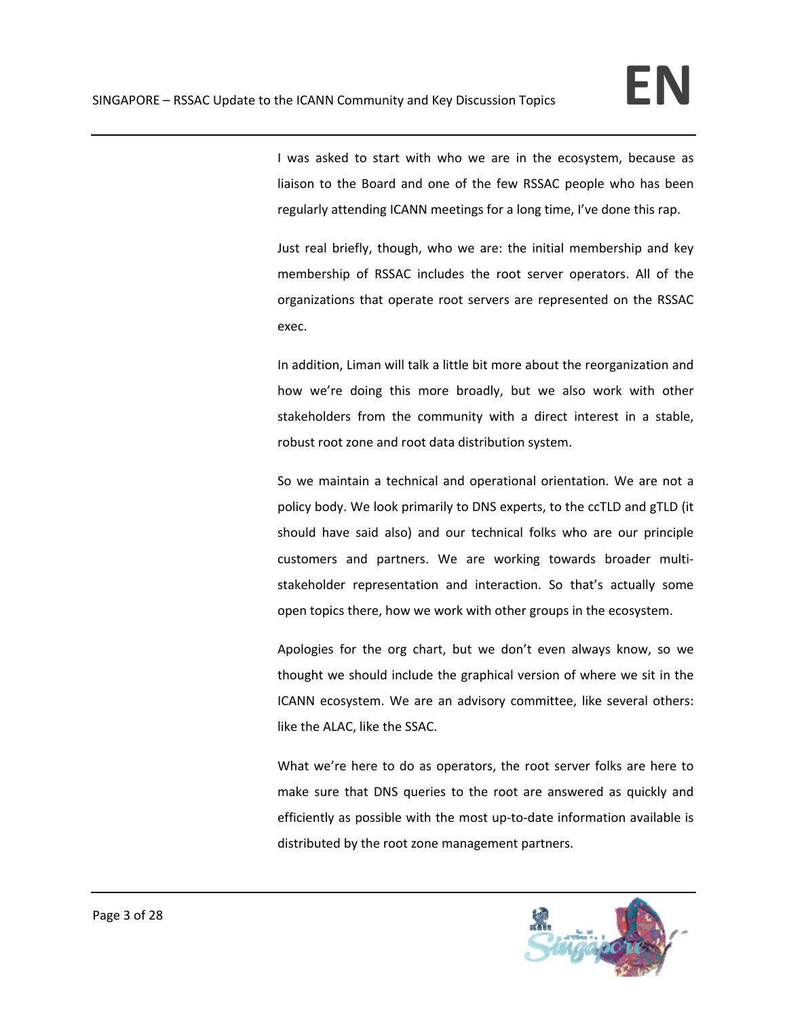I was asked to start with who we are in the ecosystem, because as liaison to the Board and one of the few RSSAC people who has been regularly attending ICANN meetings for a long time, I've done this rap.

Just real briefly, though, who we are: the initial membership and key membership of RSSAC includes the root server operators. All of the organizations that operate root servers are represented on the RSSAC exec.

In addition, Liman will talk a little bit more about the reorganization and how we're doing this more broadly, but we also work with other stakeholders from the community with a direct interest in a stable, robust root zone and root data distribution system.

So we maintain a technical and operational orientation. We are not a policy body. We look primarily to DNS experts, to the ccTLD and gTLD (it should have said also) and our technical folks who are our principle customers and partners. We are working towards broader multi‐ stakeholder representation and interaction. So that's actually some open topics there, how we work with other groups in the ecosystem.

Apologies for the org chart, but we don't even always know, so we thought we should include the graphical version of where we sit in the ICANN ecosystem. We are an advisory committee, like several others: like the ALAC, like the SSAC.

What we're here to do as operators, the root server folks are here to make sure that DNS queries to the root are answered as quickly and efficiently as possible with the most up-to-date information available is distributed by the root zone management partners.

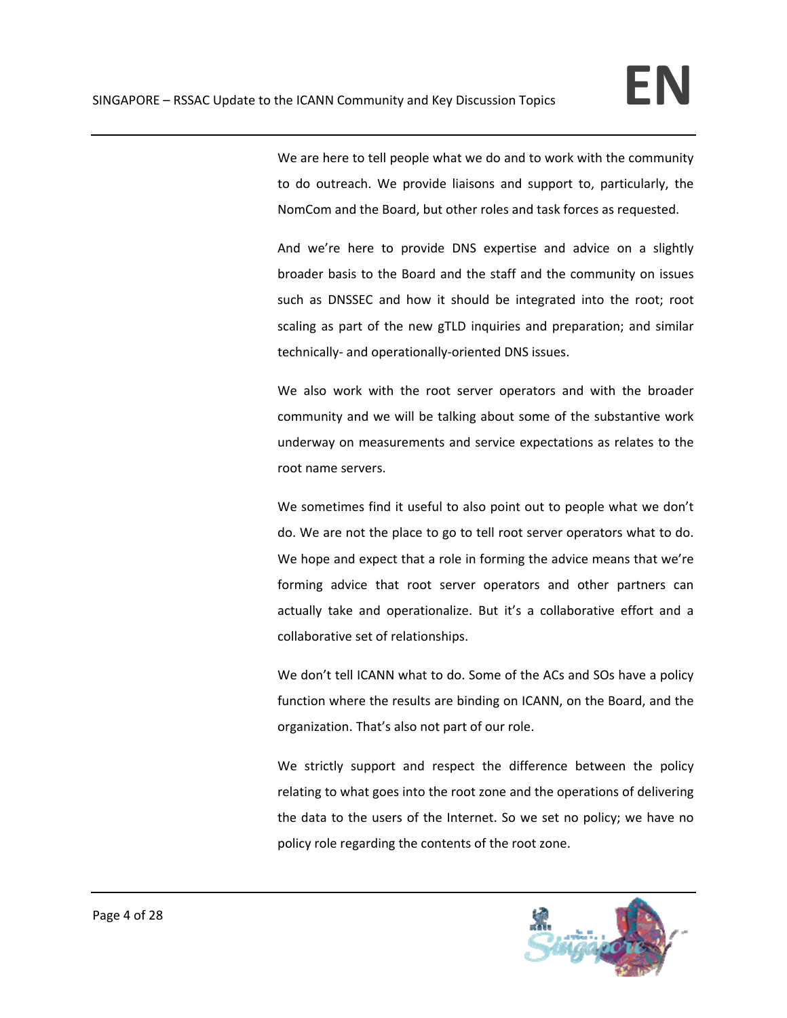We are here to tell people what we do and to work with the community to do outreach. We provide liaisons and support to, particularly, the NomCom and the Board, but other roles and task forces as requested.

And we're here to provide DNS expertise and advice on a slightly broader basis to the Board and the staff and the community on issues such as DNSSEC and how it should be integrated into the root; root scaling as part of the new gTLD inquiries and preparation; and similar technically‐ and operationally‐oriented DNS issues.

We also work with the root server operators and with the broader community and we will be talking about some of the substantive work underway on measurements and service expectations as relates to the root name servers.

We sometimes find it useful to also point out to people what we don't do. We are not the place to go to tell root server operators what to do. We hope and expect that a role in forming the advice means that we're forming advice that root server operators and other partners can actually take and operationalize. But it's a collaborative effort and a collaborative set of relationships.

We don't tell ICANN what to do. Some of the ACs and SOs have a policy function where the results are binding on ICANN, on the Board, and the organization. That's also not part of our role.

We strictly support and respect the difference between the policy relating to what goes into the root zone and the operations of delivering the data to the users of the Internet. So we set no policy; we have no policy role regarding the contents of the root zone.

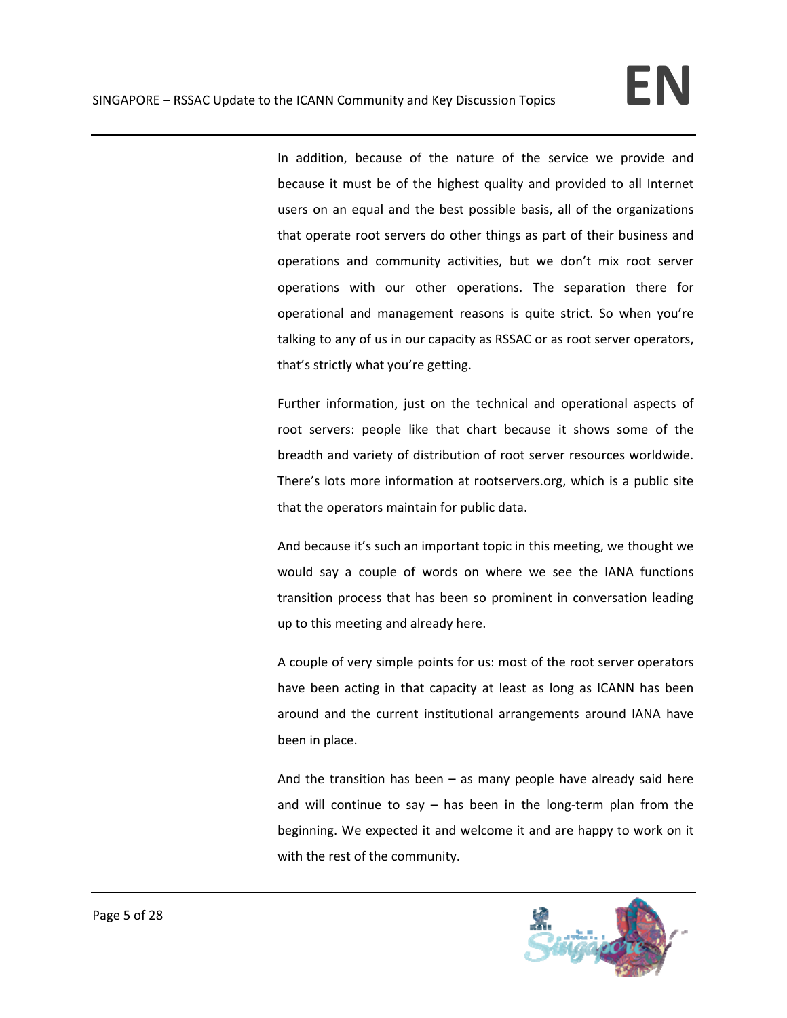In addition, because of the nature of the service we provide and because it must be of the highest quality and provided to all Internet users on an equal and the best possible basis, all of the organizations that operate root servers do other things as part of their business and operations and community activities, but we don't mix root server operations with our other operations. The separation there for operational and management reasons is quite strict. So when you're talking to any of us in our capacity as RSSAC or as root server operators, that's strictly what you're getting.

Further information, just on the technical and operational aspects of root servers: people like that chart because it shows some of the breadth and variety of distribution of root server resources worldwide. There's lots more information at rootservers.org, which is a public site that the operators maintain for public data.

And because it's such an important topic in this meeting, we thought we would say a couple of words on where we see the IANA functions transition process that has been so prominent in conversation leading up to this meeting and already here.

A couple of very simple points for us: most of the root server operators have been acting in that capacity at least as long as ICANN has been around and the current institutional arrangements around IANA have been in place.

And the transition has been  $-$  as many people have already said here and will continue to say  $-$  has been in the long-term plan from the beginning. We expected it and welcome it and are happy to work on it with the rest of the community.

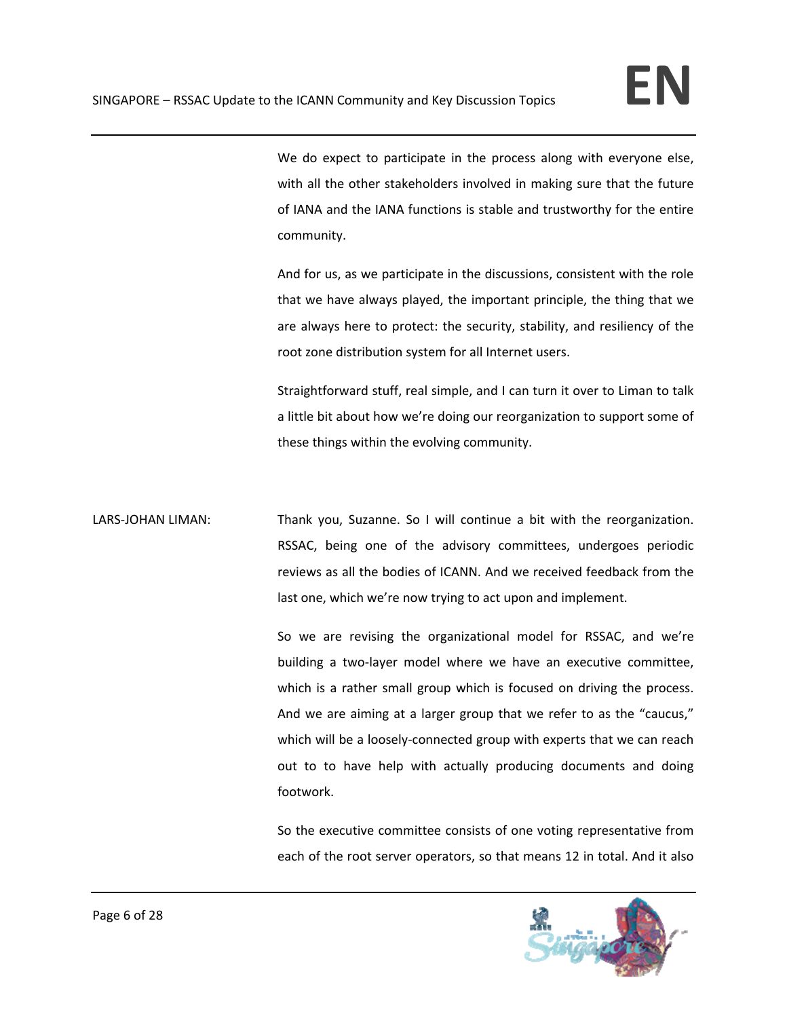We do expect to participate in the process along with everyone else, with all the other stakeholders involved in making sure that the future of IANA and the IANA functions is stable and trustworthy for the entire community.

And for us, as we participate in the discussions, consistent with the role that we have always played, the important principle, the thing that we are always here to protect: the security, stability, and resiliency of the root zone distribution system for all Internet users.

Straightforward stuff, real simple, and I can turn it over to Liman to talk a little bit about how we're doing our reorganization to support some of these things within the evolving community.

LARS-JOHAN LIMAN: Thank you, Suzanne. So I will continue a bit with the reorganization. RSSAC, being one of the advisory committees, undergoes periodic reviews as all the bodies of ICANN. And we received feedback from the last one, which we're now trying to act upon and implement.

> So we are revising the organizational model for RSSAC, and we're building a two‐layer model where we have an executive committee, which is a rather small group which is focused on driving the process. And we are aiming at a larger group that we refer to as the "caucus," which will be a loosely-connected group with experts that we can reach out to to have help with actually producing documents and doing footwork.

> So the executive committee consists of one voting representative from each of the root server operators, so that means 12 in total. And it also

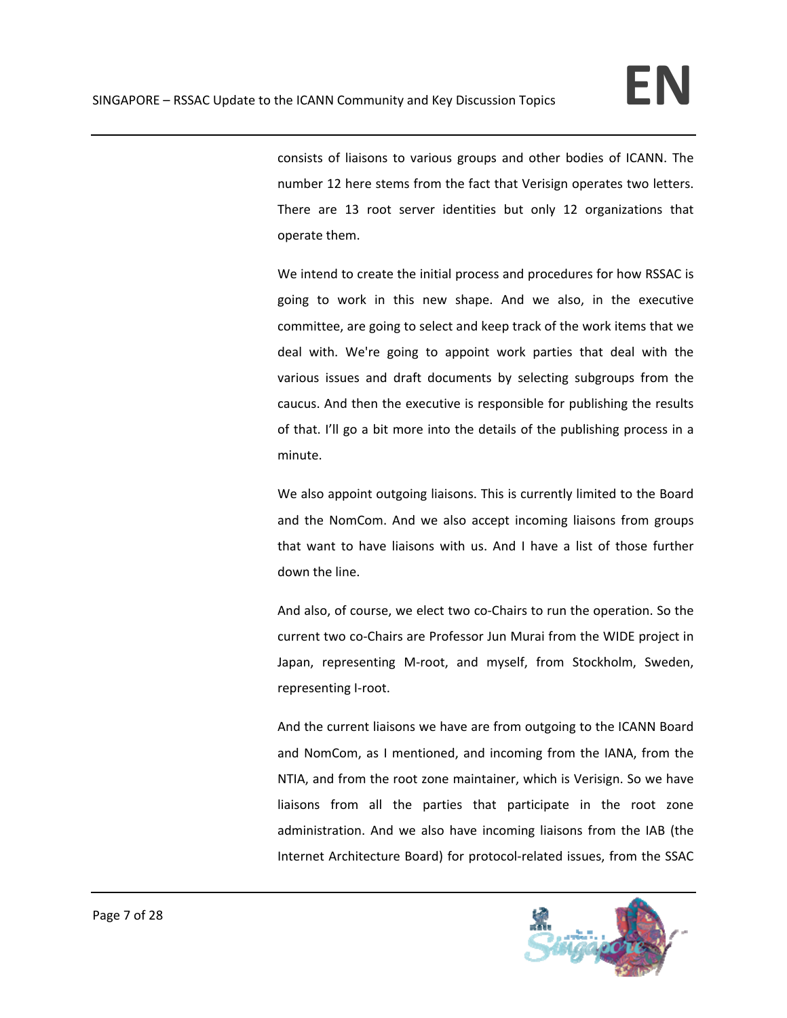consists of liaisons to various groups and other bodies of ICANN. The number 12 here stems from the fact that Verisign operates two letters. There are 13 root server identities but only 12 organizations that operate them.

We intend to create the initial process and procedures for how RSSAC is going to work in this new shape. And we also, in the executive committee, are going to select and keep track of the work items that we deal with. We're going to appoint work parties that deal with the various issues and draft documents by selecting subgroups from the caucus. And then the executive is responsible for publishing the results of that. I'll go a bit more into the details of the publishing process in a minute.

We also appoint outgoing liaisons. This is currently limited to the Board and the NomCom. And we also accept incoming liaisons from groups that want to have liaisons with us. And I have a list of those further down the line.

And also, of course, we elect two co‐Chairs to run the operation. So the current two co‐Chairs are Professor Jun Murai from the WIDE project in Japan, representing M‐root, and myself, from Stockholm, Sweden, representing I‐root.

And the current liaisons we have are from outgoing to the ICANN Board and NomCom, as I mentioned, and incoming from the IANA, from the NTIA, and from the root zone maintainer, which is Verisign. So we have liaisons from all the parties that participate in the root zone administration. And we also have incoming liaisons from the IAB (the Internet Architecture Board) for protocol-related issues, from the SSAC

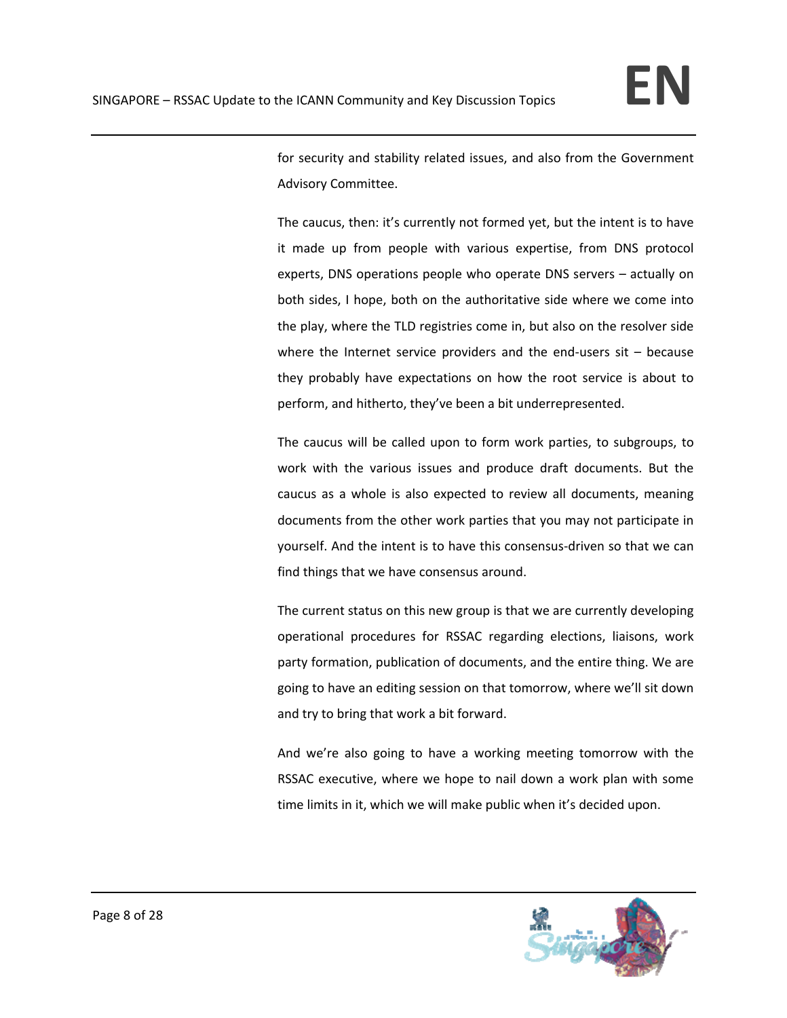for security and stability related issues, and also from the Government Advisory Committee.

The caucus, then: it's currently not formed yet, but the intent is to have it made up from people with various expertise, from DNS protocol experts, DNS operations people who operate DNS servers – actually on both sides, I hope, both on the authoritative side where we come into the play, where the TLD registries come in, but also on the resolver side where the Internet service providers and the end-users  $s$ it – because they probably have expectations on how the root service is about to perform, and hitherto, they've been a bit underrepresented.

The caucus will be called upon to form work parties, to subgroups, to work with the various issues and produce draft documents. But the caucus as a whole is also expected to review all documents, meaning documents from the other work parties that you may not participate in yourself. And the intent is to have this consensus‐driven so that we can find things that we have consensus around.

The current status on this new group is that we are currently developing operational procedures for RSSAC regarding elections, liaisons, work party formation, publication of documents, and the entire thing. We are going to have an editing session on that tomorrow, where we'll sit down and try to bring that work a bit forward.

And we're also going to have a working meeting tomorrow with the RSSAC executive, where we hope to nail down a work plan with some time limits in it, which we will make public when it's decided upon.

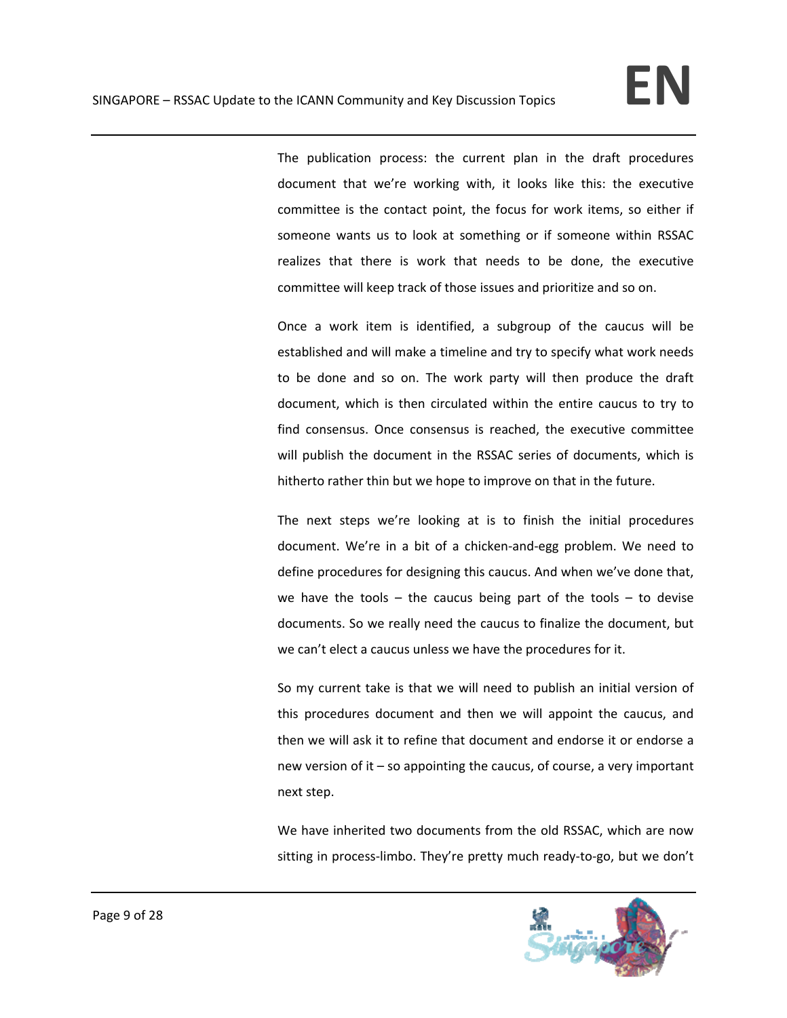The publication process: the current plan in the draft procedures document that we're working with, it looks like this: the executive committee is the contact point, the focus for work items, so either if someone wants us to look at something or if someone within RSSAC realizes that there is work that needs to be done, the executive committee will keep track of those issues and prioritize and so on.

Once a work item is identified, a subgroup of the caucus will be established and will make a timeline and try to specify what work needs to be done and so on. The work party will then produce the draft document, which is then circulated within the entire caucus to try to find consensus. Once consensus is reached, the executive committee will publish the document in the RSSAC series of documents, which is hitherto rather thin but we hope to improve on that in the future.

The next steps we're looking at is to finish the initial procedures document. We're in a bit of a chicken‐and‐egg problem. We need to define procedures for designing this caucus. And when we've done that, we have the tools  $-$  the caucus being part of the tools  $-$  to devise documents. So we really need the caucus to finalize the document, but we can't elect a caucus unless we have the procedures for it.

So my current take is that we will need to publish an initial version of this procedures document and then we will appoint the caucus, and then we will ask it to refine that document and endorse it or endorse a new version of it – so appointing the caucus, of course, a very important next step.

We have inherited two documents from the old RSSAC, which are now sitting in process-limbo. They're pretty much ready-to-go, but we don't

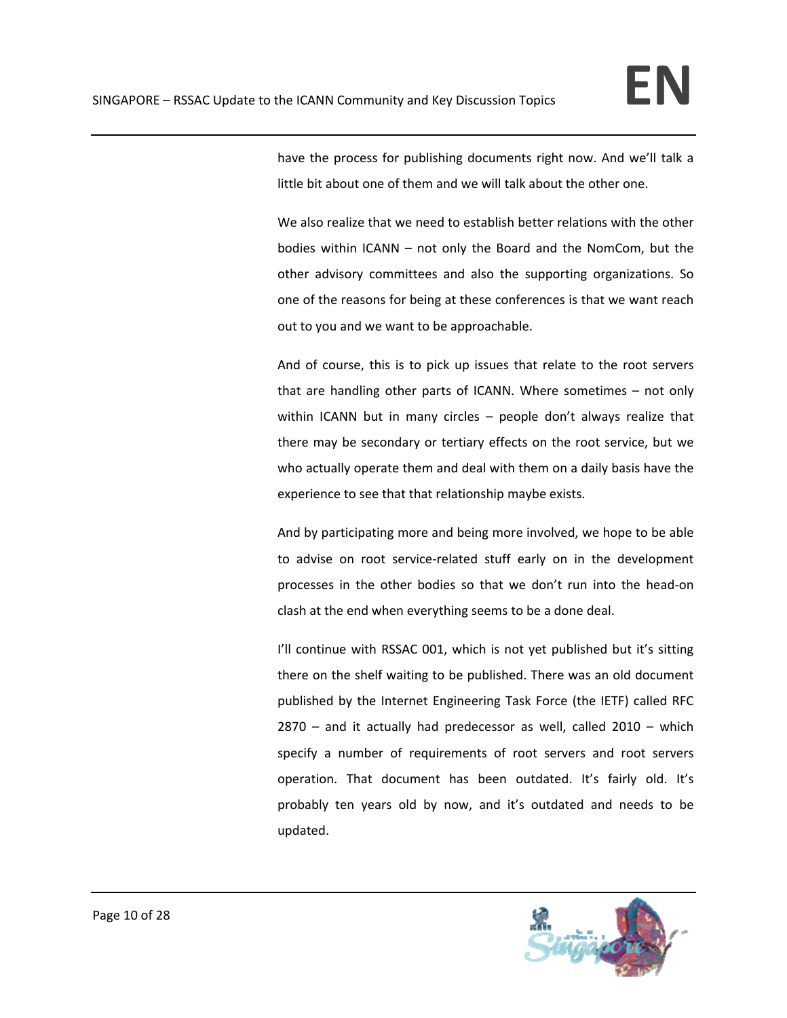have the process for publishing documents right now. And we'll talk a little bit about one of them and we will talk about the other one.

We also realize that we need to establish better relations with the other bodies within ICANN – not only the Board and the NomCom, but the other advisory committees and also the supporting organizations. So one of the reasons for being at these conferences is that we want reach out to you and we want to be approachable.

And of course, this is to pick up issues that relate to the root servers that are handling other parts of ICANN. Where sometimes – not only within ICANN but in many circles – people don't always realize that there may be secondary or tertiary effects on the root service, but we who actually operate them and deal with them on a daily basis have the experience to see that that relationship maybe exists.

And by participating more and being more involved, we hope to be able to advise on root service‐related stuff early on in the development processes in the other bodies so that we don't run into the head‐on clash at the end when everything seems to be a done deal.

I'll continue with RSSAC 001, which is not yet published but it's sitting there on the shelf waiting to be published. There was an old document published by the Internet Engineering Task Force (the IETF) called RFC 2870 – and it actually had predecessor as well, called 2010 – which specify a number of requirements of root servers and root servers operation. That document has been outdated. It's fairly old. It's probably ten years old by now, and it's outdated and needs to be updated.

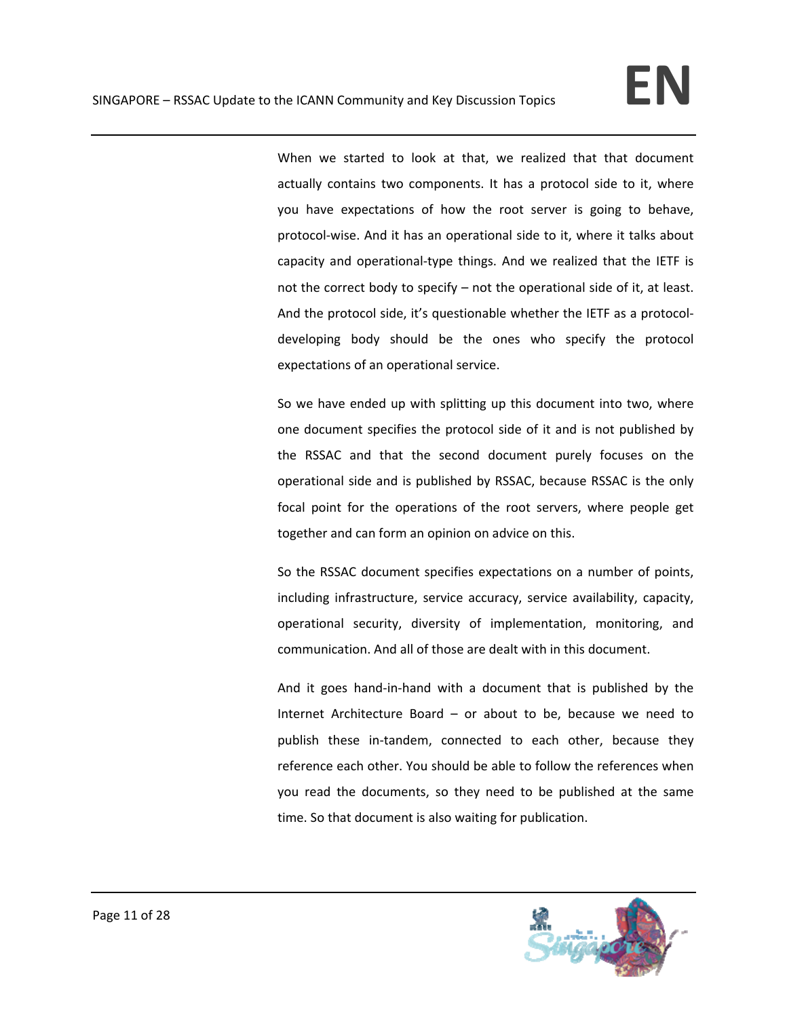When we started to look at that, we realized that that document actually contains two components. It has a protocol side to it, where you have expectations of how the root server is going to behave, protocol‐wise. And it has an operational side to it, where it talks about capacity and operational‐type things. And we realized that the IETF is not the correct body to specify – not the operational side of it, at least. And the protocol side, it's questionable whether the IETF as a protocol‐ developing body should be the ones who specify the protocol expectations of an operational service.

So we have ended up with splitting up this document into two, where one document specifies the protocol side of it and is not published by the RSSAC and that the second document purely focuses on the operational side and is published by RSSAC, because RSSAC is the only focal point for the operations of the root servers, where people get together and can form an opinion on advice on this.

So the RSSAC document specifies expectations on a number of points, including infrastructure, service accuracy, service availability, capacity, operational security, diversity of implementation, monitoring, and communication. And all of those are dealt with in this document.

And it goes hand‐in‐hand with a document that is published by the Internet Architecture Board – or about to be, because we need to publish these in-tandem, connected to each other, because they reference each other. You should be able to follow the references when you read the documents, so they need to be published at the same time. So that document is also waiting for publication.

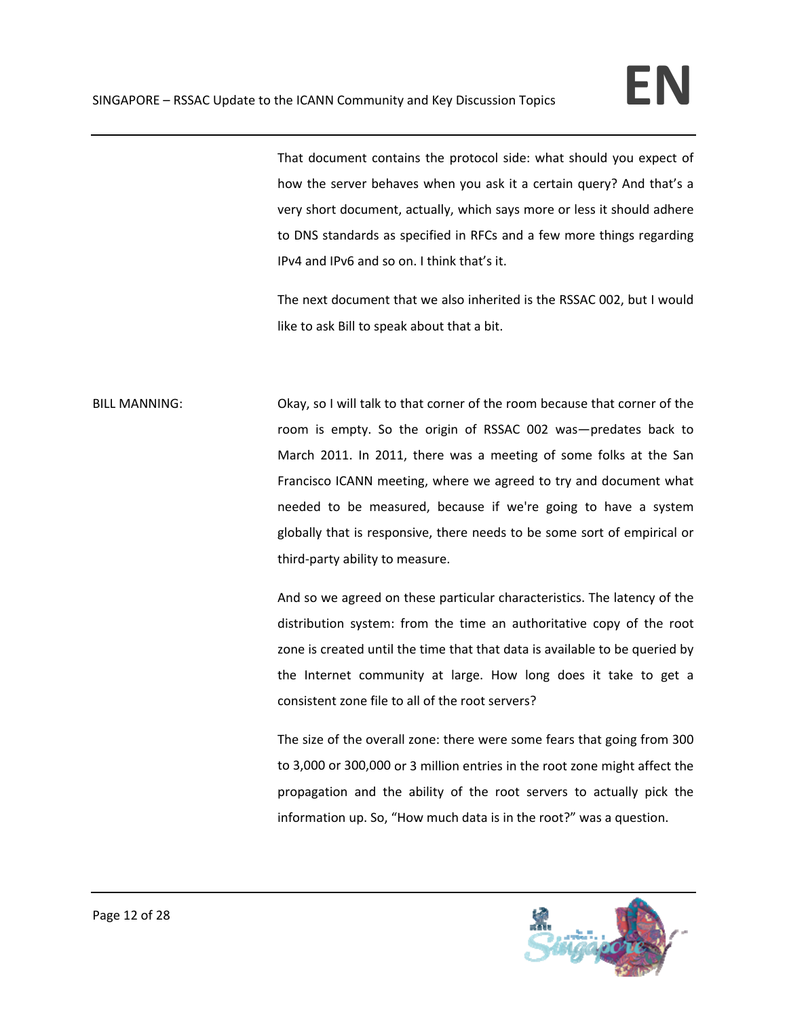That document contains the protocol side: what should you expect of how the server behaves when you ask it a certain query? And that's a very short document, actually, which says more or less it should adhere to DNS standards as specified in RFCs and a few more things regarding IPv4 and IPv6 and so on. I think that's it.

The next document that we also inherited is the RSSAC 002, but I would like to ask Bill to speak about that a bit.

BILL MANNING: Okay, so I will talk to that corner of the room because that corner of the room is empty. So the origin of RSSAC 002 was—predates back to March 2011. In 2011, there was a meeting of some folks at the San Francisco ICANN meeting, where we agreed to try and document what needed to be measured, because if we're going to have a system globally that is responsive, there needs to be some sort of empirical or third‐party ability to measure.

> And so we agreed on these particular characteristics. The latency of the distribution system: from the time an authoritative copy of the root zone is created until the time that that data is available to be queried by the Internet community at large. How long does it take to get a consistent zone file to all of the root servers?

> The size of the overall zone: there were some fears that going from 300 to 3,000 or 300,000 or 3 million entries in the root zone might affect the propagation and the ability of the root servers to actually pick the information up. So, "How much data is in the root?" was a question.

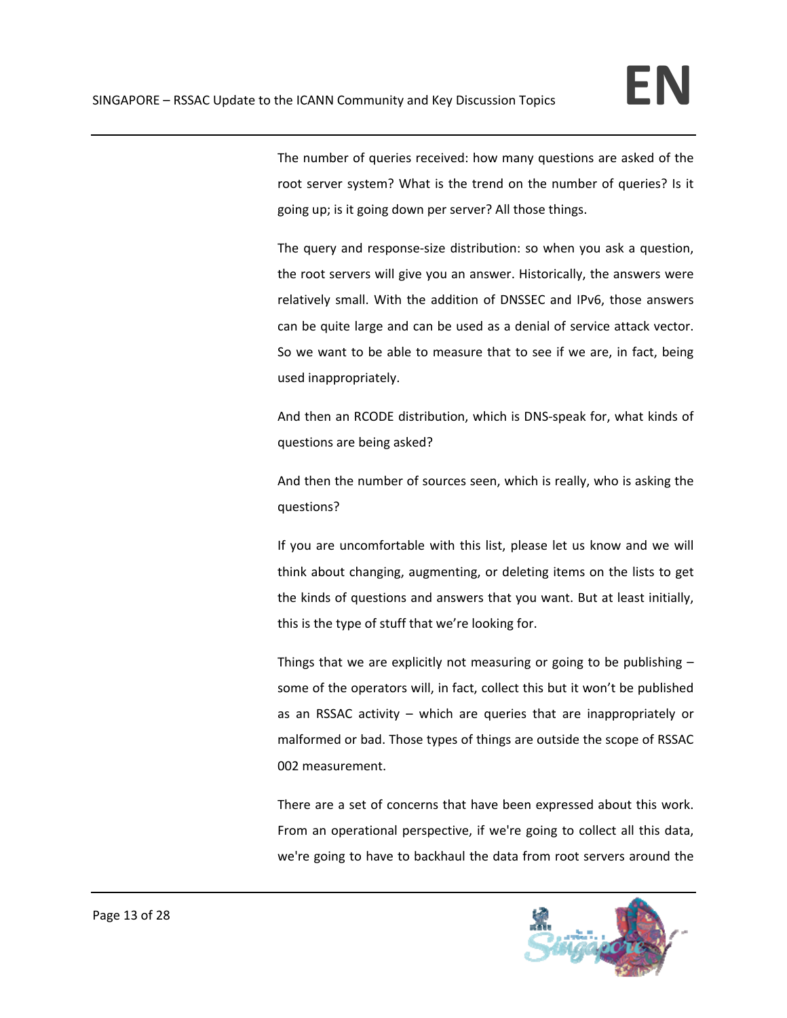The number of queries received: how many questions are asked of the root server system? What is the trend on the number of queries? Is it going up; is it going down per server? All those things.

The query and response‐size distribution: so when you ask a question, the root servers will give you an answer. Historically, the answers were relatively small. With the addition of DNSSEC and IPv6, those answers can be quite large and can be used as a denial of service attack vector. So we want to be able to measure that to see if we are, in fact, being used inappropriately.

And then an RCODE distribution, which is DNS‐speak for, what kinds of questions are being asked?

And then the number of sources seen, which is really, who is asking the questions?

If you are uncomfortable with this list, please let us know and we will think about changing, augmenting, or deleting items on the lists to get the kinds of questions and answers that you want. But at least initially, this is the type of stuff that we're looking for.

Things that we are explicitly not measuring or going to be publishing – some of the operators will, in fact, collect this but it won't be published as an RSSAC activity – which are queries that are inappropriately or malformed or bad. Those types of things are outside the scope of RSSAC 002 measurement.

There are a set of concerns that have been expressed about this work. From an operational perspective, if we're going to collect all this data, we're going to have to backhaul the data from root servers around the

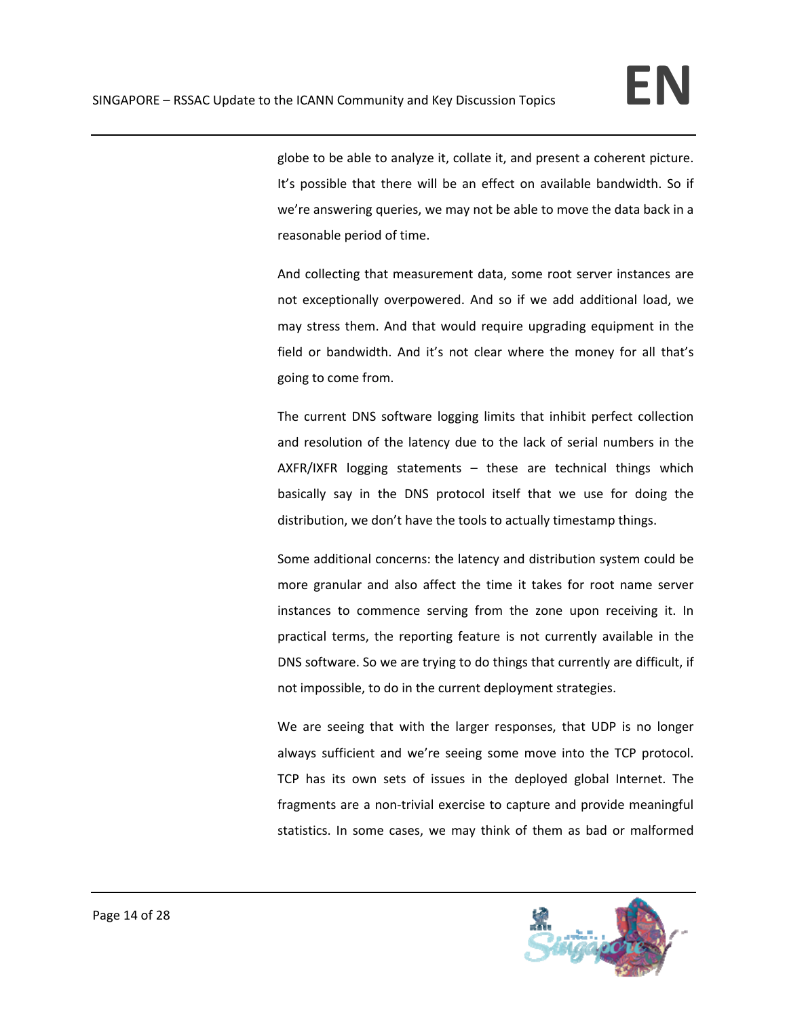globe to be able to analyze it, collate it, and present a coherent picture. It's possible that there will be an effect on available bandwidth. So if we're answering queries, we may not be able to move the data back in a reasonable period of time.

And collecting that measurement data, some root server instances are not exceptionally overpowered. And so if we add additional load, we may stress them. And that would require upgrading equipment in the field or bandwidth. And it's not clear where the money for all that's going to come from.

The current DNS software logging limits that inhibit perfect collection and resolution of the latency due to the lack of serial numbers in the AXFR/IXFR logging statements – these are technical things which basically say in the DNS protocol itself that we use for doing the distribution, we don't have the tools to actually timestamp things.

Some additional concerns: the latency and distribution system could be more granular and also affect the time it takes for root name server instances to commence serving from the zone upon receiving it. In practical terms, the reporting feature is not currently available in the DNS software. So we are trying to do things that currently are difficult, if not impossible, to do in the current deployment strategies.

We are seeing that with the larger responses, that UDP is no longer always sufficient and we're seeing some move into the TCP protocol. TCP has its own sets of issues in the deployed global Internet. The fragments are a non-trivial exercise to capture and provide meaningful statistics. In some cases, we may think of them as bad or malformed

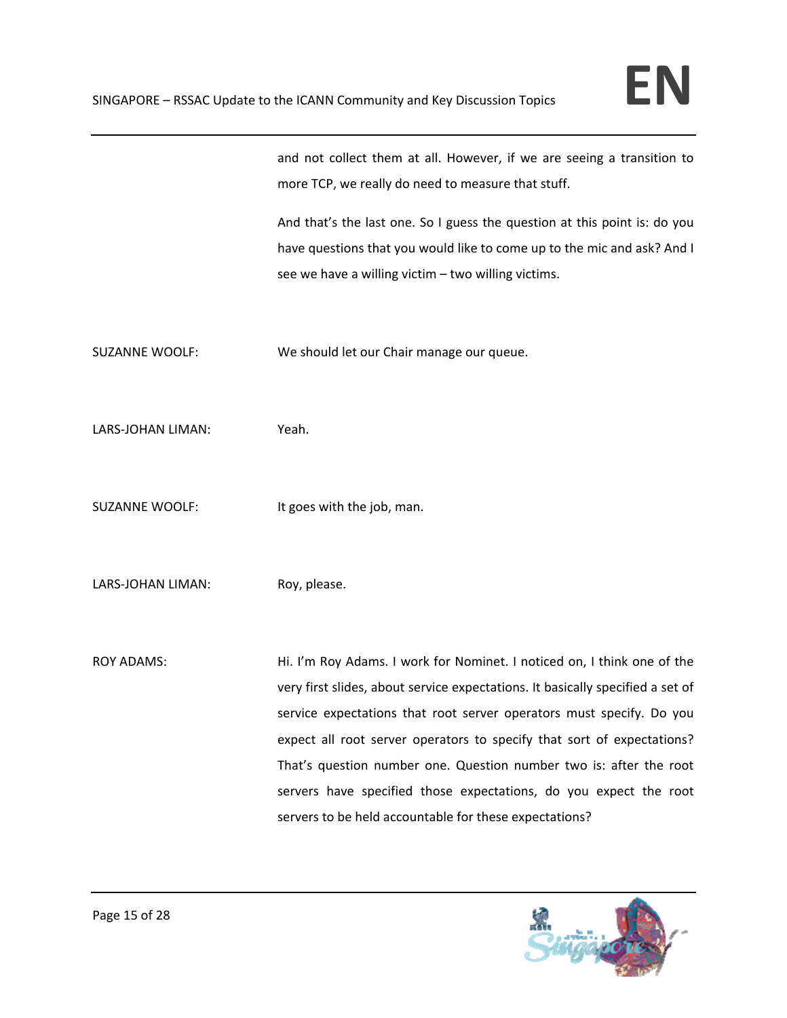and not collect them at all. However, if we are seeing a transition to more TCP, we really do need to measure that stuff.

And that's the last one. So I guess the question at this point is: do you have questions that you would like to come up to the mic and ask? And I see we have a willing victim – two willing victims.

SUZANNE WOOLF: We should let our Chair manage our queue.

LARS‐JOHAN LIMAN: Yeah.

SUZANNE WOOLF: It goes with the job, man.

LARS-JOHAN LIMAN: Roy, please.

ROY ADAMS: Hi. I'm Roy Adams. I work for Nominet. I noticed on, I think one of the very first slides, about service expectations. It basically specified a set of service expectations that root server operators must specify. Do you expect all root server operators to specify that sort of expectations? That's question number one. Question number two is: after the root servers have specified those expectations, do you expect the root servers to be held accountable for these expectations?

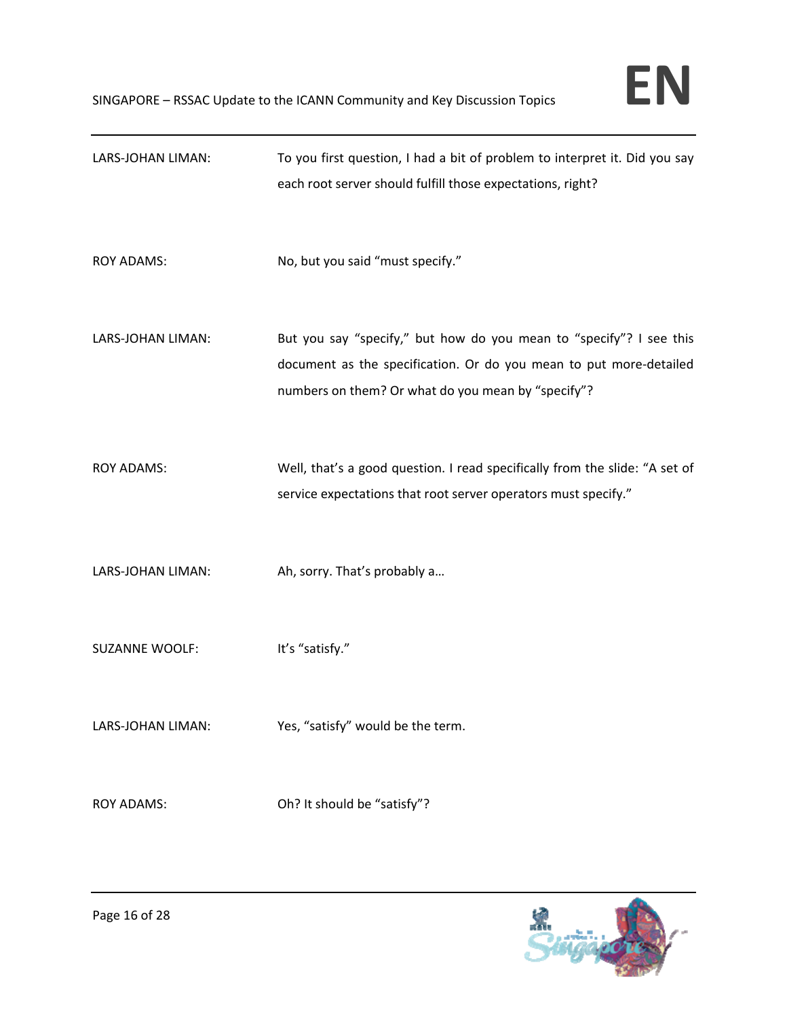| LARS-JOHAN LIMAN:     | To you first question, I had a bit of problem to interpret it. Did you say<br>each root server should fulfill those expectations, right?                                                        |
|-----------------------|-------------------------------------------------------------------------------------------------------------------------------------------------------------------------------------------------|
| <b>ROY ADAMS:</b>     | No, but you said "must specify."                                                                                                                                                                |
| LARS-JOHAN LIMAN:     | But you say "specify," but how do you mean to "specify"? I see this<br>document as the specification. Or do you mean to put more-detailed<br>numbers on them? Or what do you mean by "specify"? |
| <b>ROY ADAMS:</b>     | Well, that's a good question. I read specifically from the slide: "A set of<br>service expectations that root server operators must specify."                                                   |
| LARS-JOHAN LIMAN:     | Ah, sorry. That's probably a                                                                                                                                                                    |
| <b>SUZANNE WOOLF:</b> | It's "satisfy."                                                                                                                                                                                 |
| LARS-JOHAN LIMAN:     | Yes, "satisfy" would be the term.                                                                                                                                                               |
| <b>ROY ADAMS:</b>     | Oh? It should be "satisfy"?                                                                                                                                                                     |

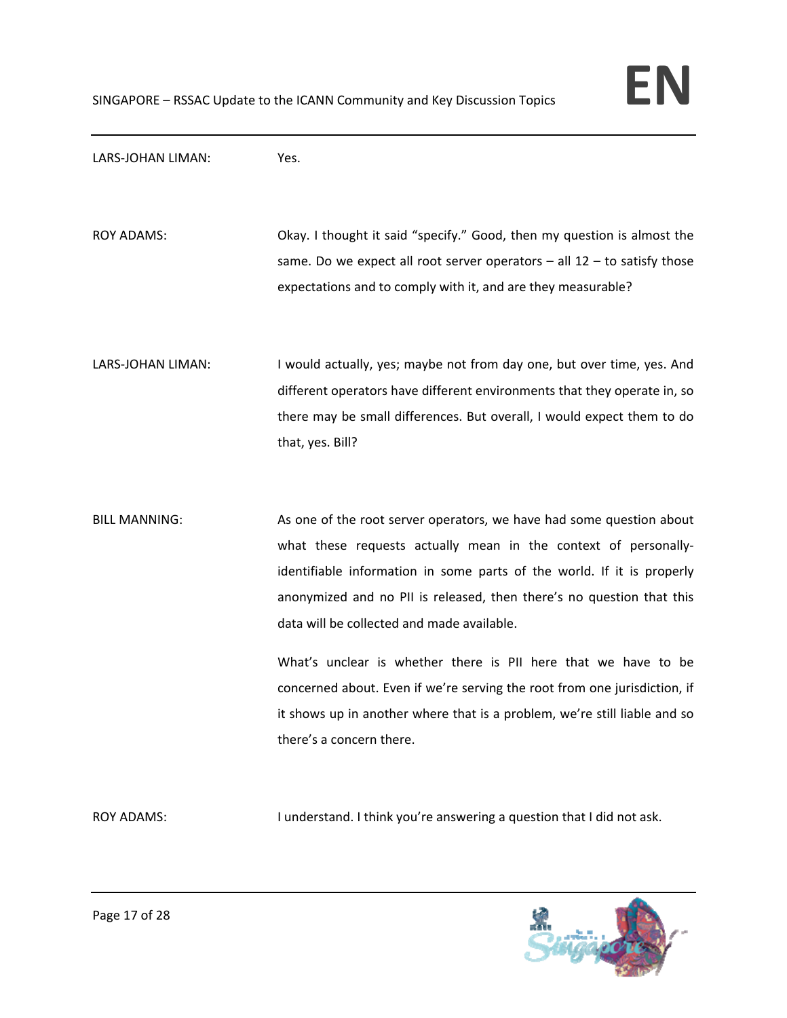

LARS‐JOHAN LIMAN: Yes.

ROY ADAMS: Okay. I thought it said "specify." Good, then my question is almost the same. Do we expect all root server operators  $-$  all 12  $-$  to satisfy those expectations and to comply with it, and are they measurable?

LARS-JOHAN LIMAN: I would actually, yes; maybe not from day one, but over time, yes. And different operators have different environments that they operate in, so there may be small differences. But overall, I would expect them to do that, yes. Bill?

BILL MANNING: As one of the root server operators, we have had some question about what these requests actually mean in the context of personallyidentifiable information in some parts of the world. If it is properly anonymized and no PII is released, then there's no question that this data will be collected and made available.

> What's unclear is whether there is PII here that we have to be concerned about. Even if we're serving the root from one jurisdiction, if it shows up in another where that is a problem, we're still liable and so there's a concern there.

ROY ADAMS: I understand. I think you're answering a question that I did not ask.

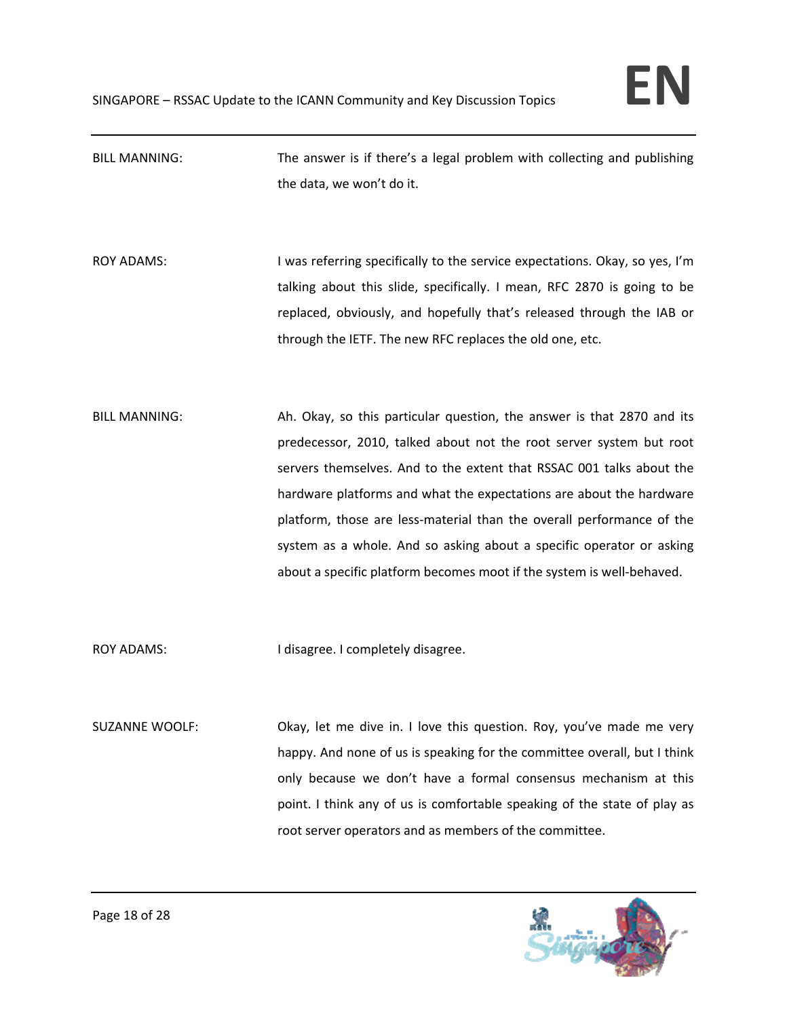# BILL MANNING: The answer is if there's a legal problem with collecting and publishing the data, we won't do it.

- ROY ADAMS: I was referring specifically to the service expectations. Okay, so yes, I'm talking about this slide, specifically. I mean, RFC 2870 is going to be replaced, obviously, and hopefully that's released through the IAB or through the IETF. The new RFC replaces the old one, etc.
- BILL MANNING: Ah. Okay, so this particular question, the answer is that 2870 and its predecessor, 2010, talked about not the root server system but root servers themselves. And to the extent that RSSAC 001 talks about the hardware platforms and what the expectations are about the hardware platform, those are less-material than the overall performance of the system as a whole. And so asking about a specific operator or asking about a specific platform becomes moot if the system is well‐behaved.

ROY ADAMS: I disagree. I completely disagree.

SUZANNE WOOLF: Okay, let me dive in. I love this question. Roy, you've made me very happy. And none of us is speaking for the committee overall, but I think only because we don't have a formal consensus mechanism at this point. I think any of us is comfortable speaking of the state of play as root server operators and as members of the committee.

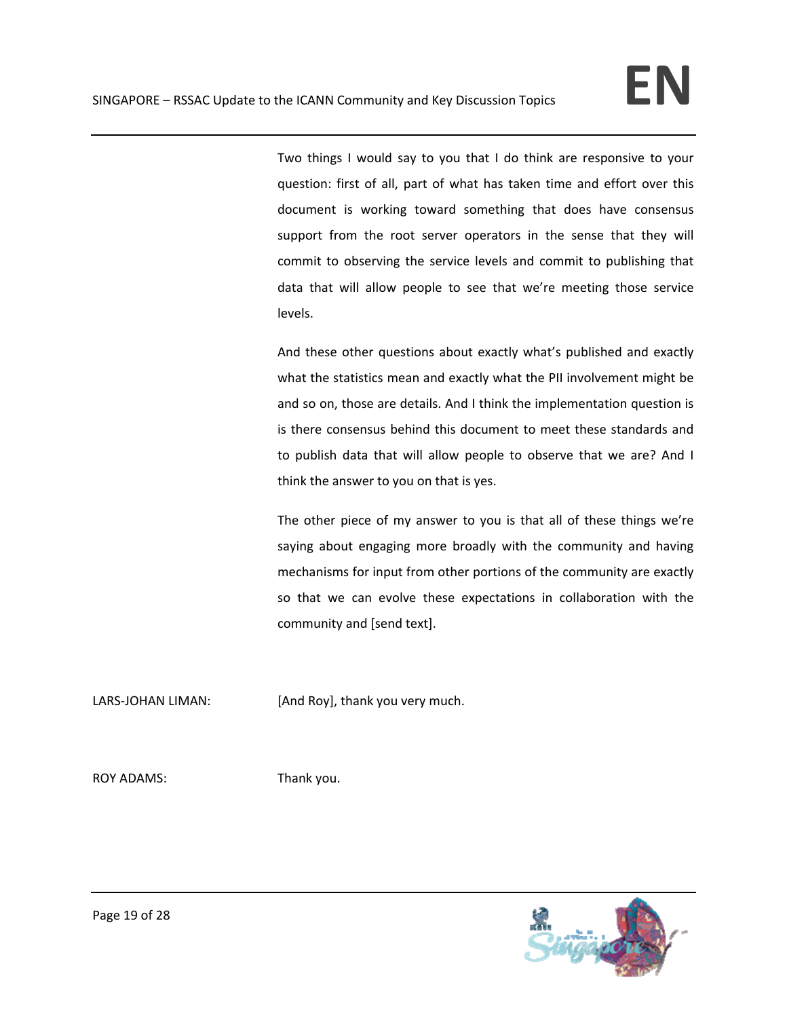Two things I would say to you that I do think are responsive to your question: first of all, part of what has taken time and effort over this document is working toward something that does have consensus support from the root server operators in the sense that they will commit to observing the service levels and commit to publishing that data that will allow people to see that we're meeting those service levels.

And these other questions about exactly what's published and exactly what the statistics mean and exactly what the PII involvement might be and so on, those are details. And I think the implementation question is is there consensus behind this document to meet these standards and to publish data that will allow people to observe that we are? And I think the answer to you on that is yes.

The other piece of my answer to you is that all of these things we're saying about engaging more broadly with the community and having mechanisms for input from other portions of the community are exactly so that we can evolve these expectations in collaboration with the community and [send text].

LARS-JOHAN LIMAN: [And Roy], thank you very much.

ROY ADAMS: Thank you.

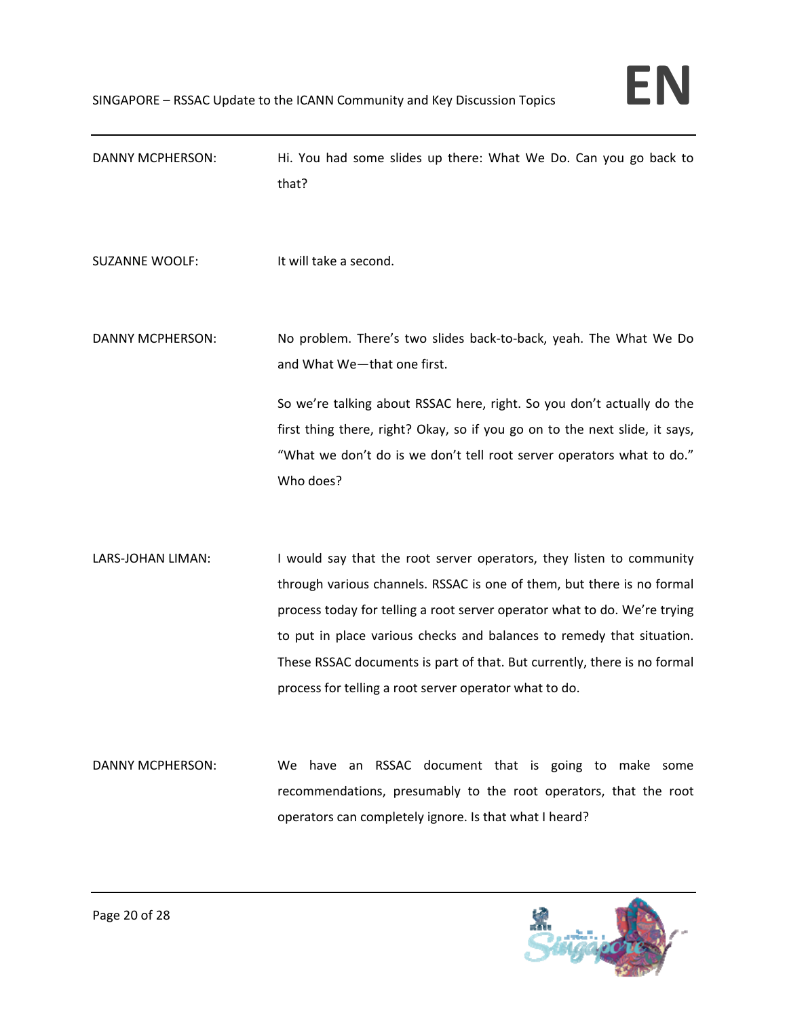| DANNY MCPHERSON:      | Hi. You had some slides up there: What We Do. Can you go back to<br>that?                                                                                                                                                                                                                                                                                                                                                                  |
|-----------------------|--------------------------------------------------------------------------------------------------------------------------------------------------------------------------------------------------------------------------------------------------------------------------------------------------------------------------------------------------------------------------------------------------------------------------------------------|
| <b>SUZANNE WOOLF:</b> | It will take a second.                                                                                                                                                                                                                                                                                                                                                                                                                     |
| DANNY MCPHERSON:      | No problem. There's two slides back-to-back, yeah. The What We Do<br>and What We-that one first.                                                                                                                                                                                                                                                                                                                                           |
|                       | So we're talking about RSSAC here, right. So you don't actually do the<br>first thing there, right? Okay, so if you go on to the next slide, it says,<br>"What we don't do is we don't tell root server operators what to do."<br>Who does?                                                                                                                                                                                                |
| LARS-JOHAN LIMAN:     | I would say that the root server operators, they listen to community<br>through various channels. RSSAC is one of them, but there is no formal<br>process today for telling a root server operator what to do. We're trying<br>to put in place various checks and balances to remedy that situation.<br>These RSSAC documents is part of that. But currently, there is no formal<br>process for telling a root server operator what to do. |
| DANNY MCPHERSON:      | We have an RSSAC document that is going to make some<br>recommendations, presumably to the root operators, that the root<br>operators can completely ignore. Is that what I heard?                                                                                                                                                                                                                                                         |

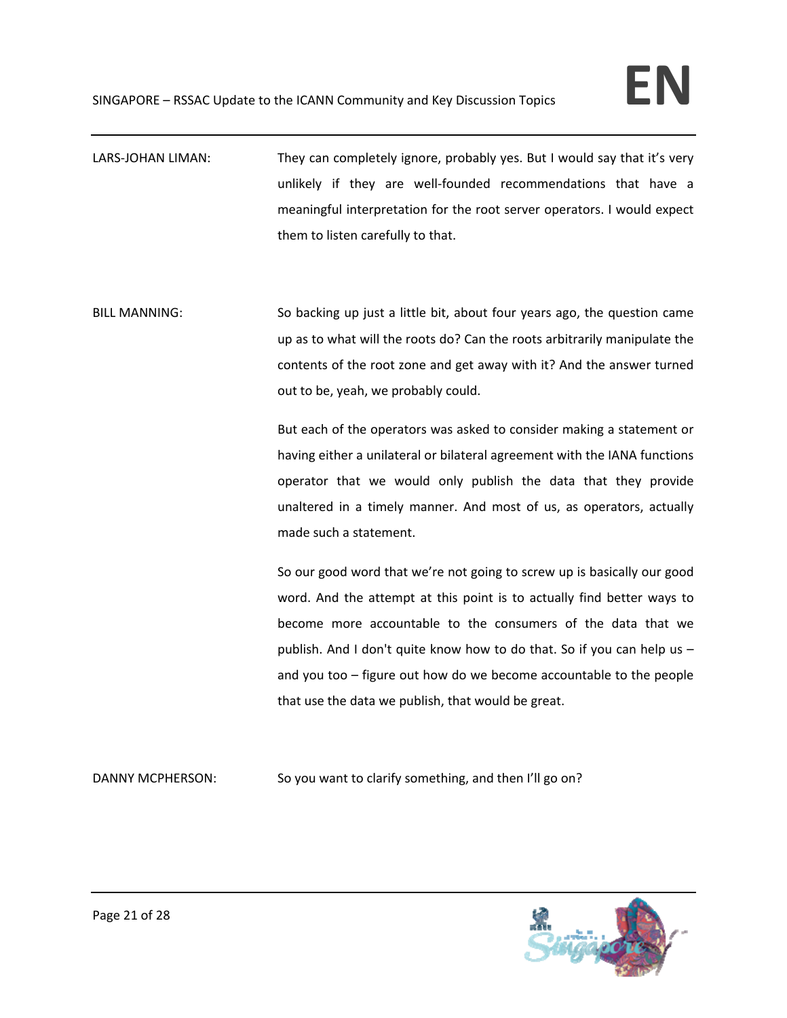LARS-JOHAN LIMAN: They can completely ignore, probably yes. But I would say that it's very unlikely if they are well-founded recommendations that have a meaningful interpretation for the root server operators. I would expect them to listen carefully to that.

BILL MANNING: So backing up just a little bit, about four years ago, the question came up as to what will the roots do? Can the roots arbitrarily manipulate the contents of the root zone and get away with it? And the answer turned out to be, yeah, we probably could.

> But each of the operators was asked to consider making a statement or having either a unilateral or bilateral agreement with the IANA functions operator that we would only publish the data that they provide unaltered in a timely manner. And most of us, as operators, actually made such a statement.

> So our good word that we're not going to screw up is basically our good word. And the attempt at this point is to actually find better ways to become more accountable to the consumers of the data that we publish. And I don't quite know how to do that. So if you can help us – and you too – figure out how do we become accountable to the people that use the data we publish, that would be great.

DANNY MCPHERSON: So you want to clarify something, and then I'll go on?

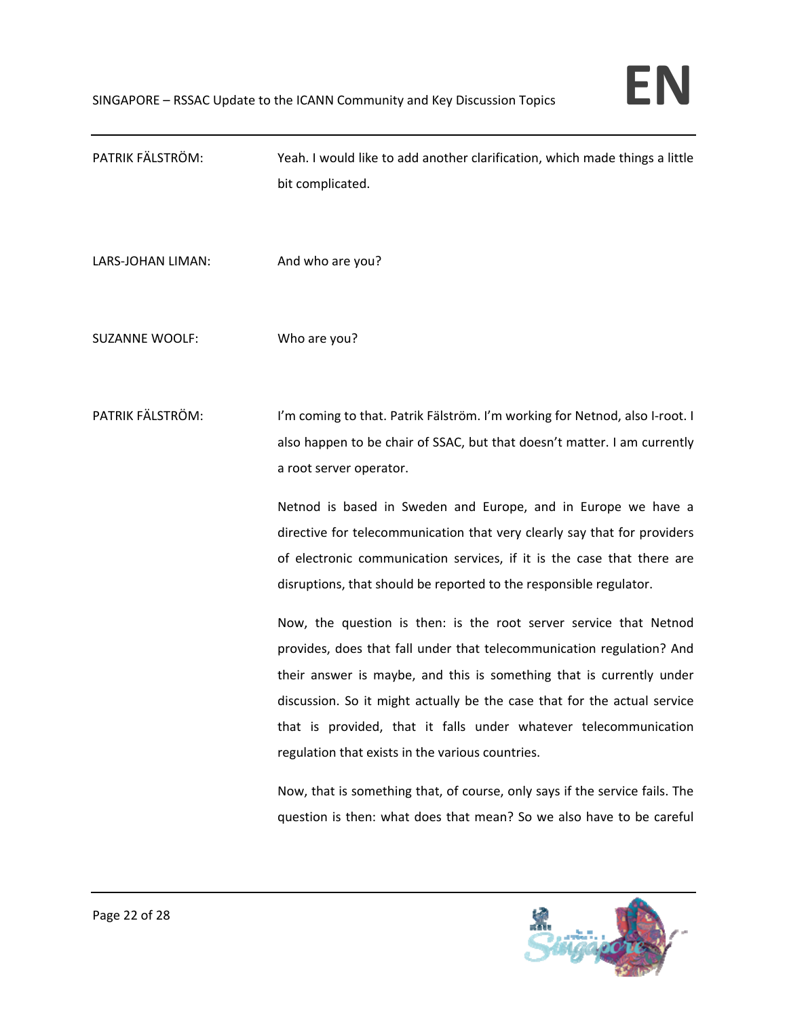PATRIK FÄLSTRÖM: Yeah. I would like to add another clarification, which made things a little bit complicated. LARS-JOHAN LIMAN: And who are you? SUZANNE WOOLF: Who are you? PATRIK FÄLSTRÖM: I'm coming to that. Patrik Fälström. I'm working for Netnod, also I-root. I also happen to be chair of SSAC, but that doesn't matter. I am currently a root server operator. Netnod is based in Sweden and Europe, and in Europe we have a directive for telecommunication that very clearly say that for providers of electronic communication services, if it is the case that there are disruptions, that should be reported to the responsible regulator. Now, the question is then: is the root server service that Netnod provides, does that fall under that telecommunication regulation? And their answer is maybe, and this is something that is currently under discussion. So it might actually be the case that for the actual service that is provided, that it falls under whatever telecommunication regulation that exists in the various countries. Now, that is something that, of course, only says if the service fails. The question is then: what does that mean? So we also have to be careful

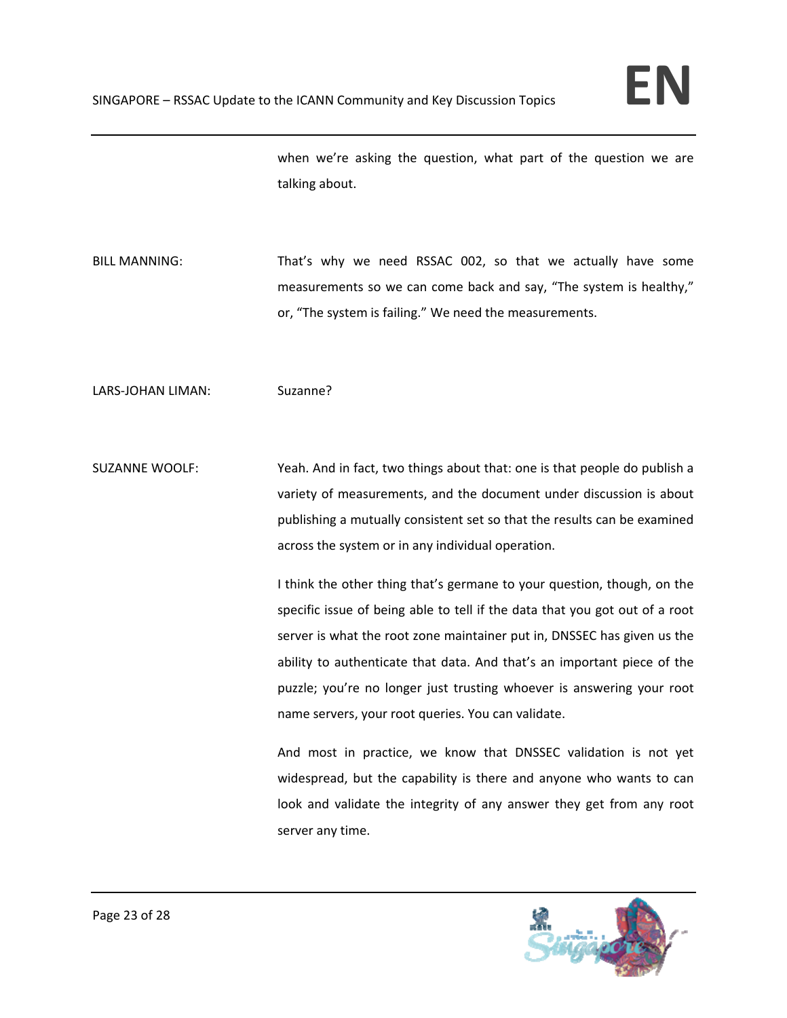when we're asking the question, what part of the question we are talking about.

BILL MANNING: That's why we need RSSAC 002, so that we actually have some measurements so we can come back and say, "The system is healthy," or, "The system is failing." We need the measurements.

LARS-JOHAN LIMAN: Suzanne?

SUZANNE WOOLF: Yeah. And in fact, two things about that: one is that people do publish a variety of measurements, and the document under discussion is about publishing a mutually consistent set so that the results can be examined across the system or in any individual operation.

> I think the other thing that's germane to your question, though, on the specific issue of being able to tell if the data that you got out of a root server is what the root zone maintainer put in, DNSSEC has given us the ability to authenticate that data. And that's an important piece of the puzzle; you're no longer just trusting whoever is answering your root name servers, your root queries. You can validate.

> And most in practice, we know that DNSSEC validation is not yet widespread, but the capability is there and anyone who wants to can look and validate the integrity of any answer they get from any root server any time.

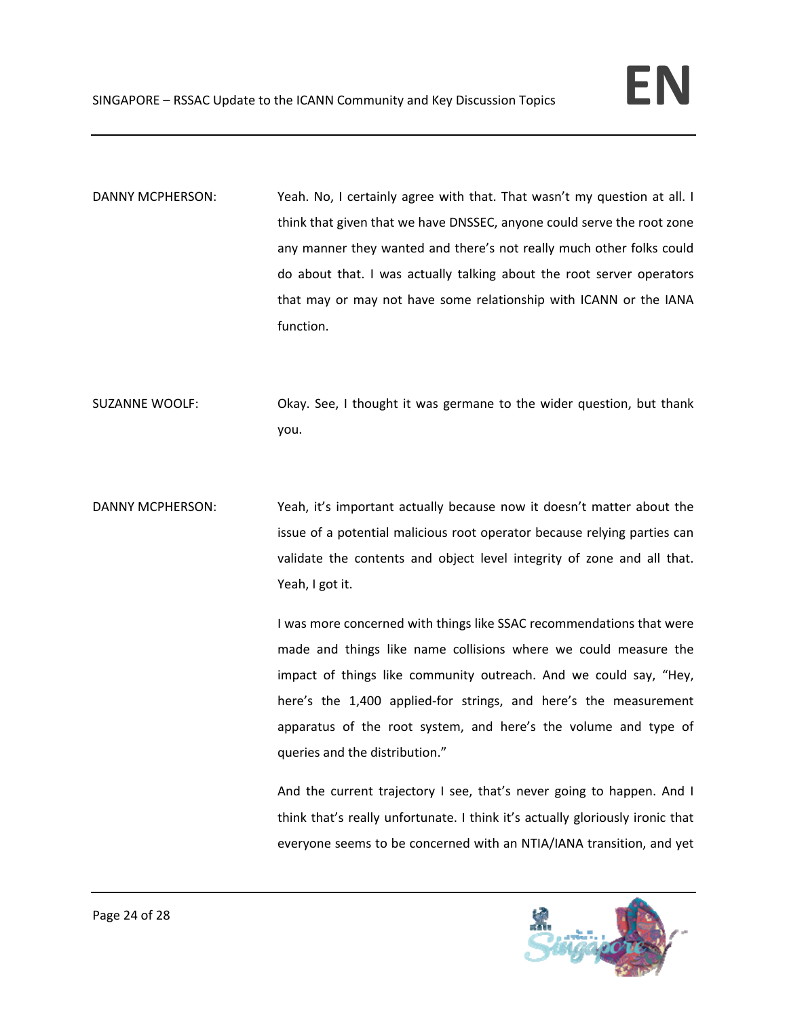DANNY MCPHERSON: Yeah. No, I certainly agree with that. That wasn't my question at all. I think that given that we have DNSSEC, anyone could serve the root zone any manner they wanted and there's not really much other folks could do about that. I was actually talking about the root server operators that may or may not have some relationship with ICANN or the IANA function.

- SUZANNE WOOLF: Okay. See, I thought it was germane to the wider question, but thank you.
- DANNY MCPHERSON: Yeah, it's important actually because now it doesn't matter about the issue of a potential malicious root operator because relying parties can validate the contents and object level integrity of zone and all that. Yeah, I got it.

I was more concerned with things like SSAC recommendations that were made and things like name collisions where we could measure the impact of things like community outreach. And we could say, "Hey, here's the 1,400 applied-for strings, and here's the measurement apparatus of the root system, and here's the volume and type of queries and the distribution."

And the current trajectory I see, that's never going to happen. And I think that's really unfortunate. I think it's actually gloriously ironic that everyone seems to be concerned with an NTIA/IANA transition, and yet

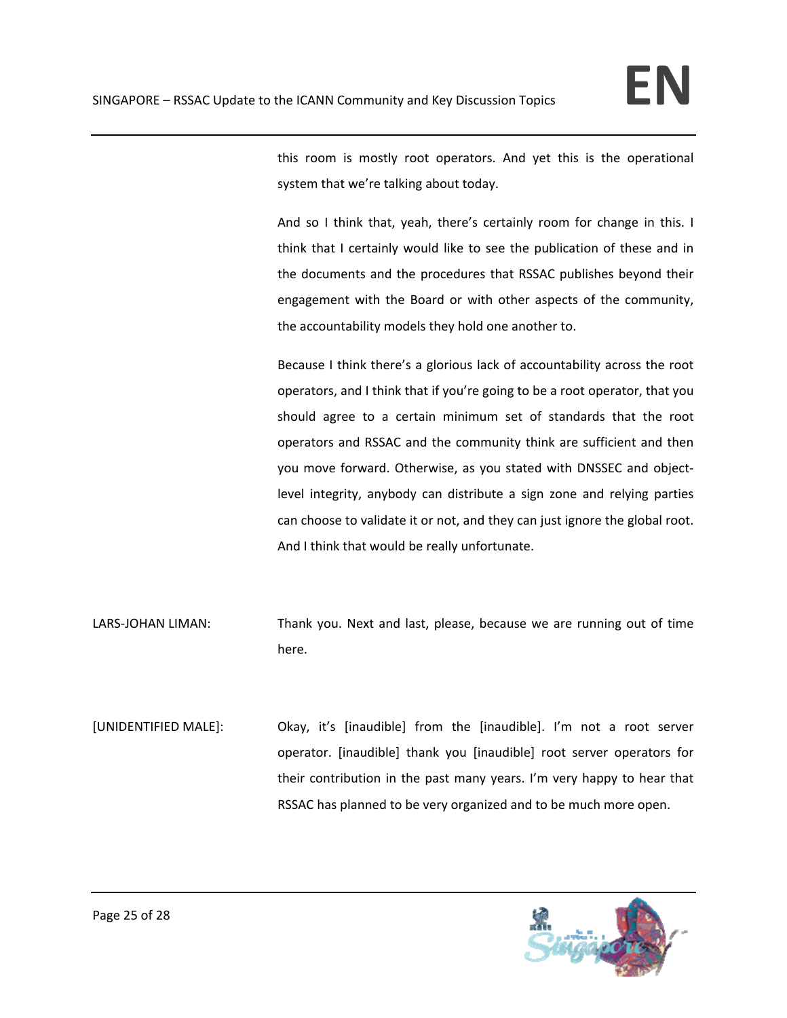this room is mostly root operators. And yet this is the operational system that we're talking about today.

And so I think that, yeah, there's certainly room for change in this. I think that I certainly would like to see the publication of these and in the documents and the procedures that RSSAC publishes beyond their engagement with the Board or with other aspects of the community, the accountability models they hold one another to.

Because I think there's a glorious lack of accountability across the root operators, and I think that if you're going to be a root operator, that you should agree to a certain minimum set of standards that the root operators and RSSAC and the community think are sufficient and then you move forward. Otherwise, as you stated with DNSSEC and object‐ level integrity, anybody can distribute a sign zone and relying parties can choose to validate it or not, and they can just ignore the global root. And I think that would be really unfortunate.

- LARS-JOHAN LIMAN: Thank you. Next and last, please, because we are running out of time here.
- [UNIDENTIFIED MALE]: Okay, it's [inaudible] from the [inaudible]. I'm not a root server operator. [inaudible] thank you [inaudible] root server operators for their contribution in the past many years. I'm very happy to hear that RSSAC has planned to be very organized and to be much more open.

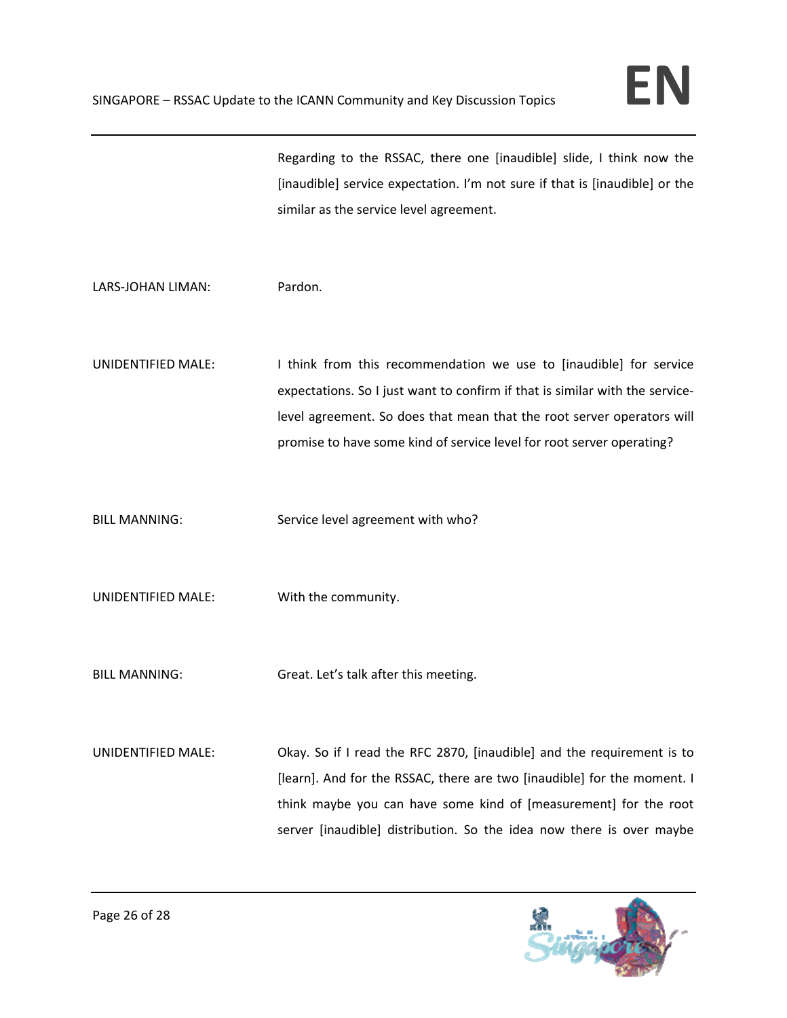Regarding to the RSSAC, there one [inaudible] slide, I think now the [inaudible] service expectation. I'm not sure if that is [inaudible] or the similar as the service level agreement.

LARS‐JOHAN LIMAN: Pardon.

UNIDENTIFIED MALE: I think from this recommendation we use to [inaudible] for service expectations. So I just want to confirm if that is similar with the service‐ level agreement. So does that mean that the root server operators will promise to have some kind of service level for root server operating?

- BILL MANNING: Service level agreement with who?
- UNIDENTIFIED MALE: With the community.
- BILL MANNING: Great. Let's talk after this meeting.
- UNIDENTIFIED MALE: Okay. So if I read the RFC 2870, [inaudible] and the requirement is to [learn]. And for the RSSAC, there are two [inaudible] for the moment. I think maybe you can have some kind of [measurement] for the root server [inaudible] distribution. So the idea now there is over maybe

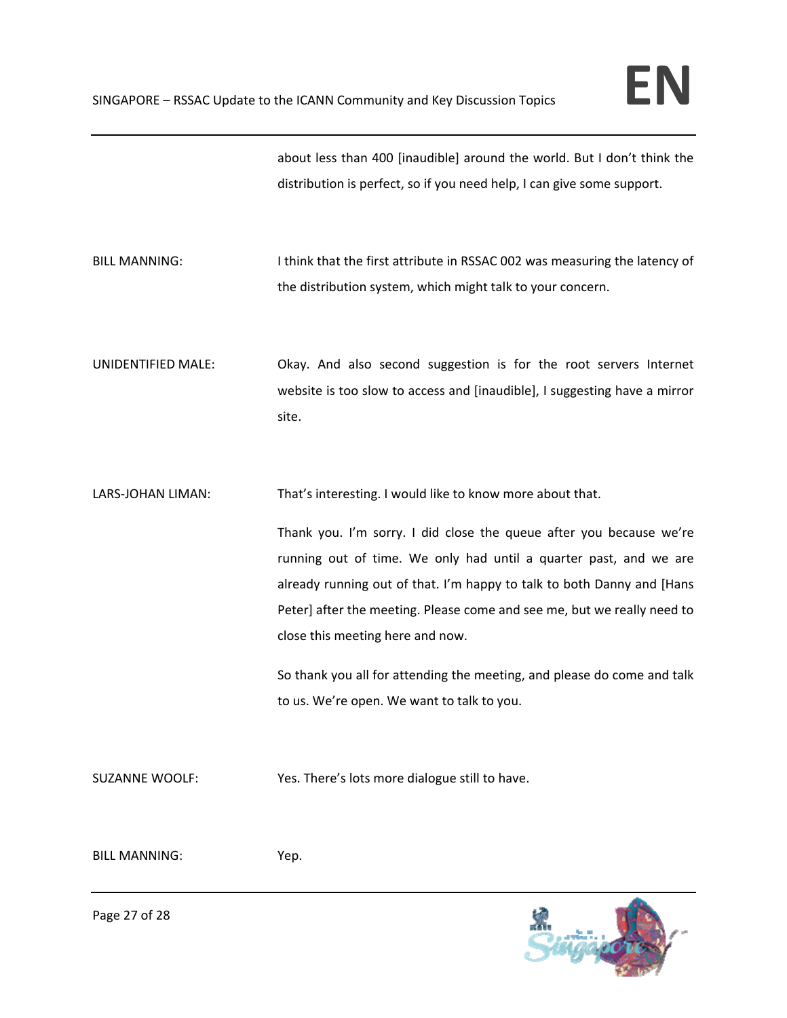about less than 400 [inaudible] around the world. But I don't think the distribution is perfect, so if you need help, I can give some support.

- BILL MANNING: Intink that the first attribute in RSSAC 002 was measuring the latency of the distribution system, which might talk to your concern.
- UNIDENTIFIED MALE: Okay. And also second suggestion is for the root servers Internet website is too slow to access and [inaudible], I suggesting have a mirror site.
- LARS-JOHAN LIMAN: That's interesting. I would like to know more about that.

Thank you. I'm sorry. I did close the queue after you because we're running out of time. We only had until a quarter past, and we are already running out of that. I'm happy to talk to both Danny and [Hans Peter] after the meeting. Please come and see me, but we really need to close this meeting here and now.

So thank you all for attending the meeting, and please do come and talk to us. We're open. We want to talk to you.

SUZANNE WOOLF: Yes. There's lots more dialogue still to have.

BILL MANNING: Yep.



Page 27 of 28